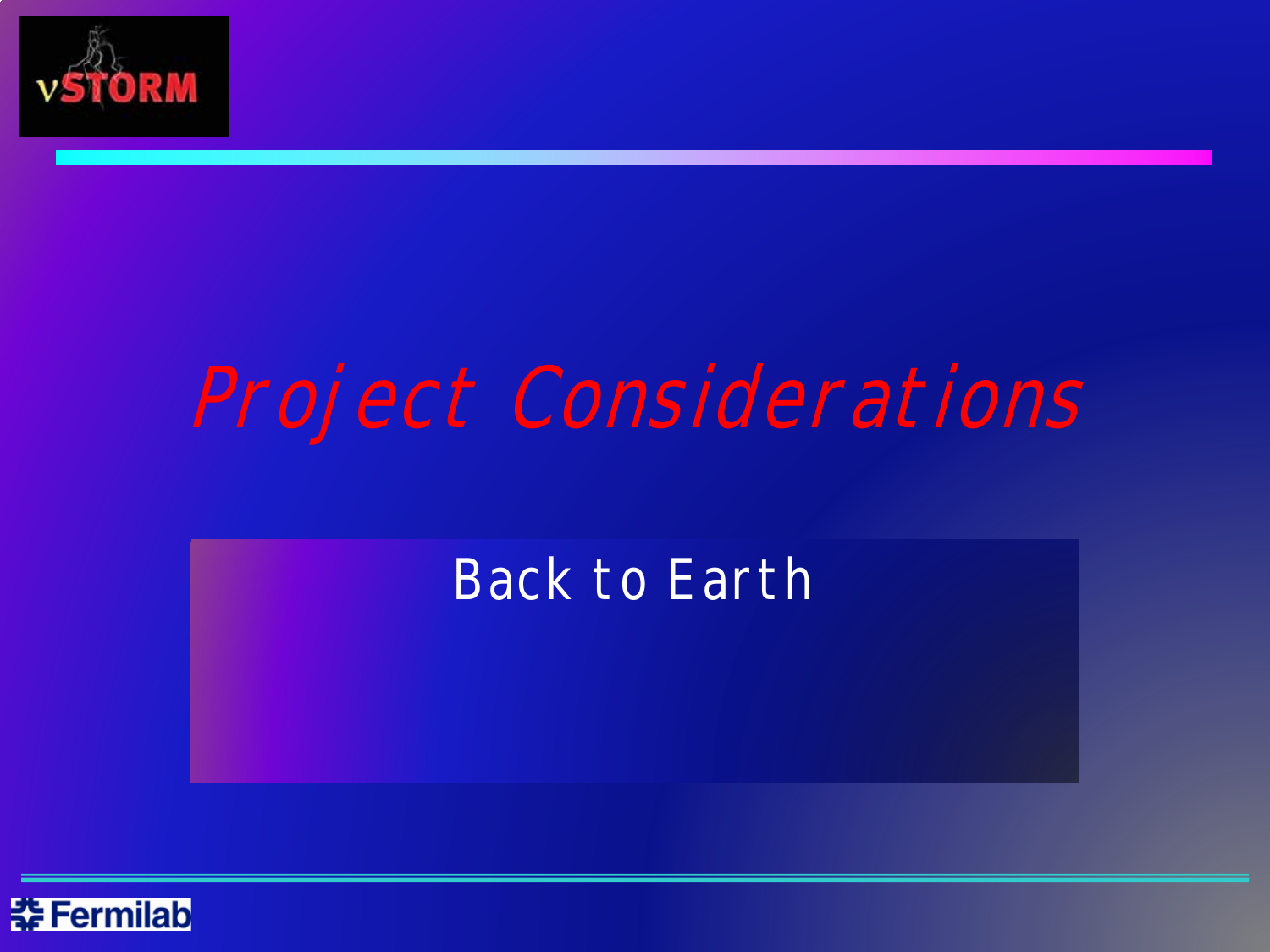

# Project Considerations

# Back to Earth

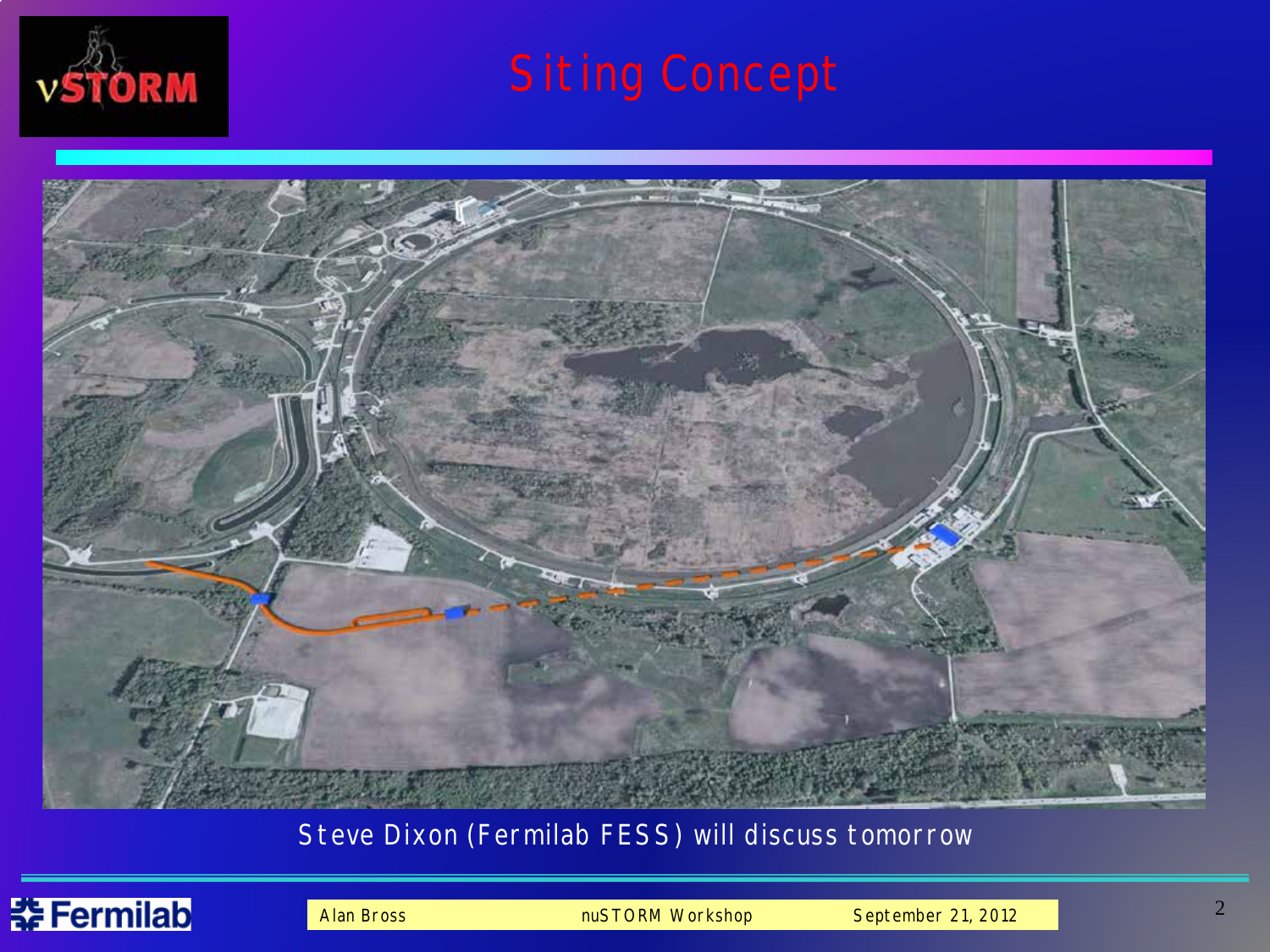



#### Steve Dixon (Fermilab FESS) will discuss tomorrow

### <del>촕</del> Fermilab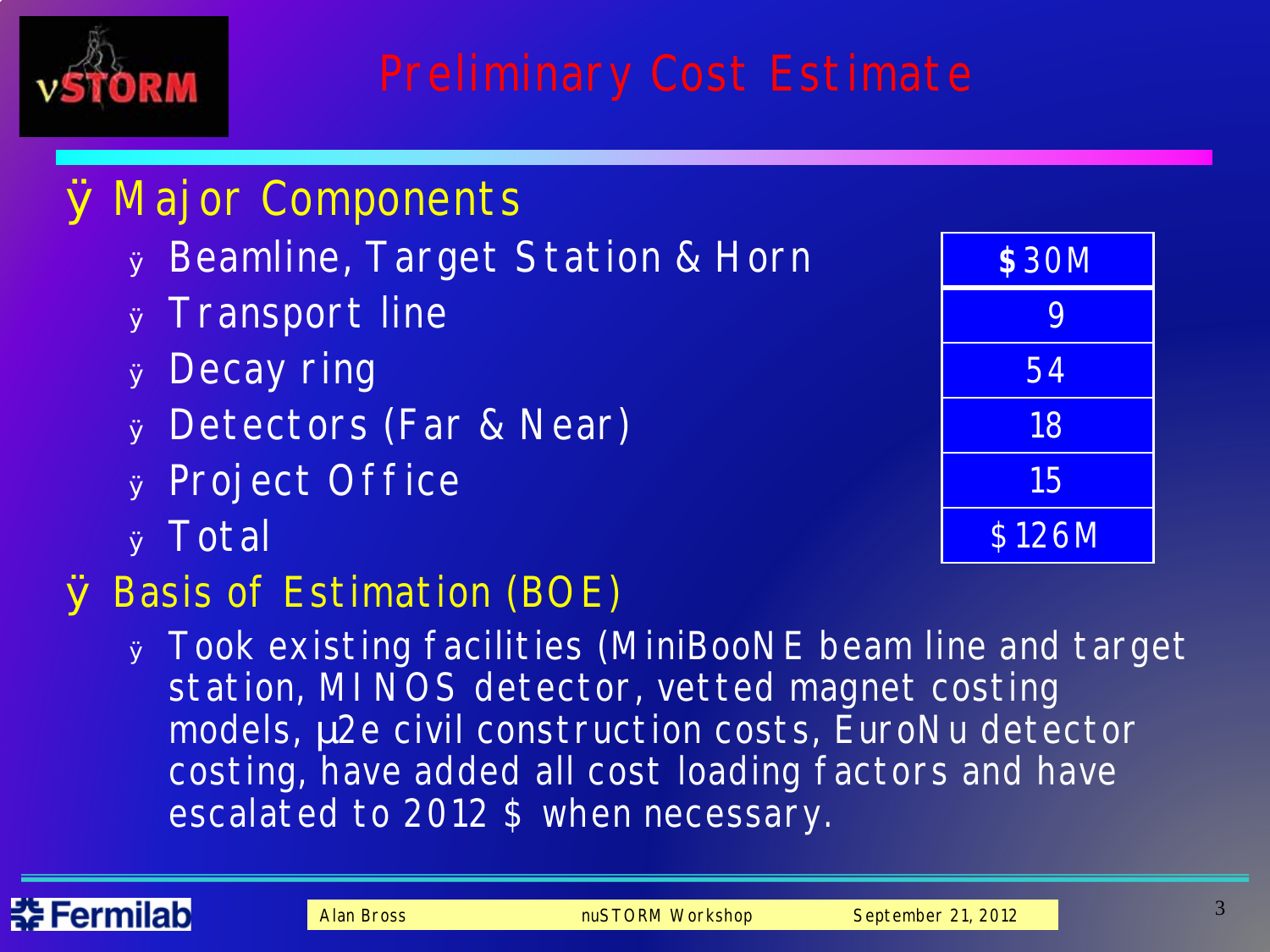

## Ø Major Components

- <sup>Ø</sup> Beamline, Target Station & Horn
- <sup>Ø</sup> Transport line
- <sup>Ø</sup> Decay ring
- <sup>Ø</sup> Detectors (Far & Near)
- <sup>Ø</sup> Project Office
- <sup>Ø</sup> Total

## Ø Basis of Estimation (BOE)

<sup>Ø</sup> Took existing facilities (MiniBooNE beam line and target station, MI NOS detector, vetted magnet costing models, m<sub>2</sub>e civil construction costs, EuroNu detector costing, have added all cost loading factors and have escalated to 2012 \$ when necessary.

| \$30M  |
|--------|
| 9      |
| 54     |
| 18     |
| 15     |
| \$126M |

#### に Fermilabl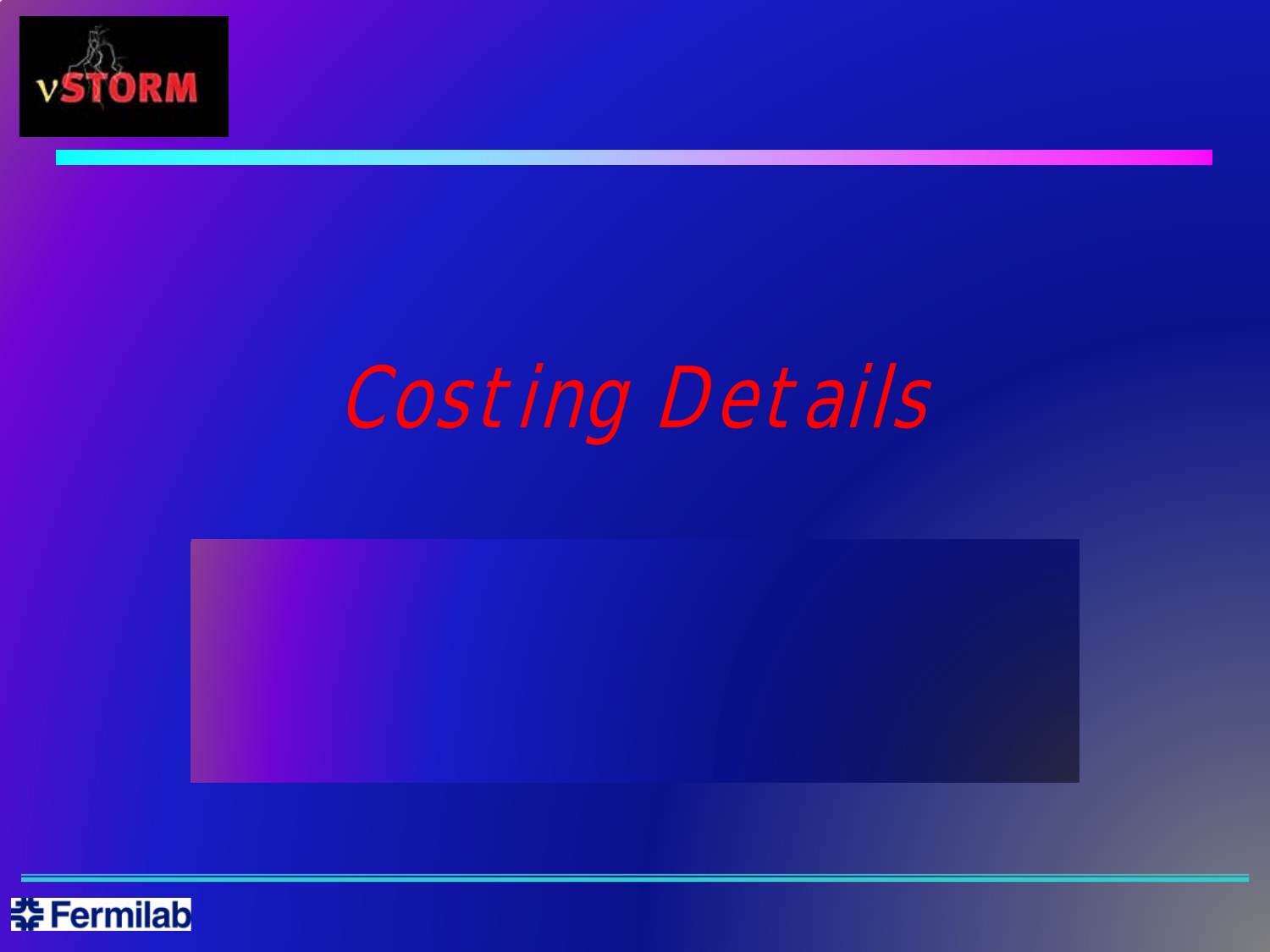

# Costing Details



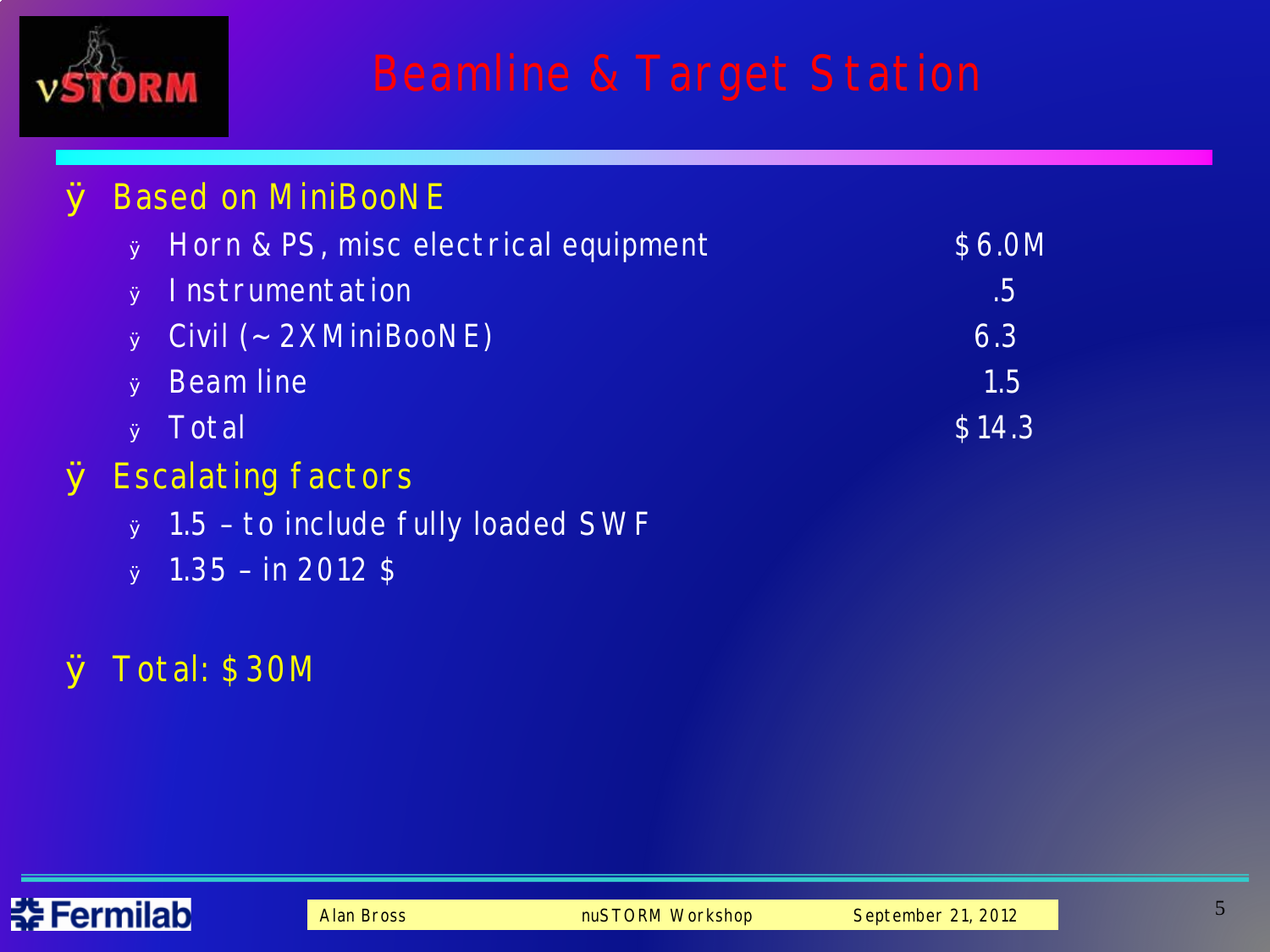

# Beamline & Target Station

### Ø Based on MiniBooNE <sup>Ø</sup> Horn & PS, misc electrical equipment \$6.0M **a** Instrumentation .5 <sup>Ø</sup> Civil (~ 2XMiniBooNE) 6.3 <sup>Ø</sup> Beam line 1.5  $\bullet$  Total  $\$14.3$ Ø Escalating factors <sup>Ø</sup> 1.5 – to include fully loaded SWF  $\sigma$  1.35 – in 2012 \$

#### Ø Total: \$30M

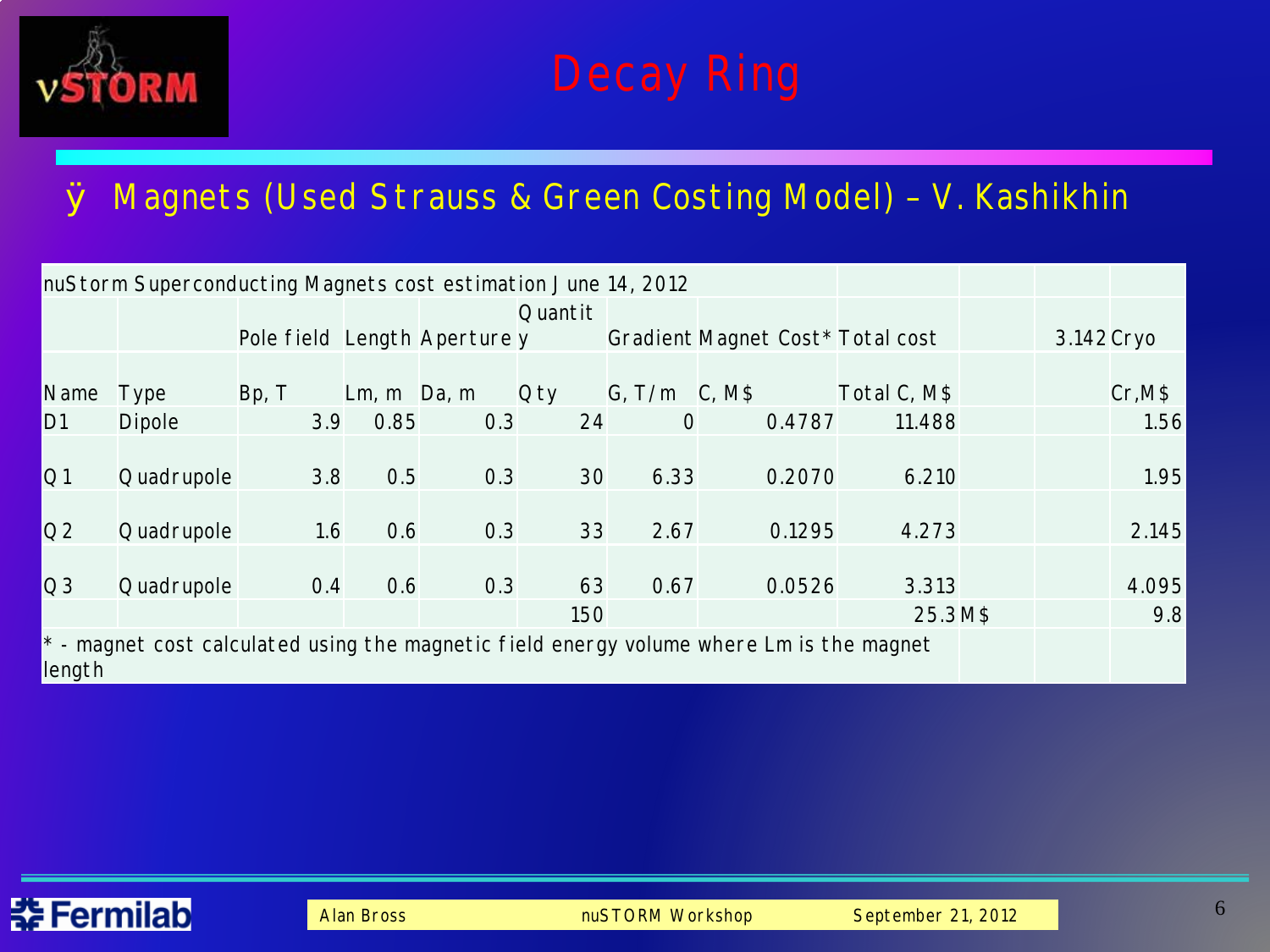

### Ø Magnets (Used Strauss & Green Costing Model) – V. Kashikhin

|                | nuStorm Superconducting Magnets cost estimation June 14, 2012 |                              |               |     |            |                      |                                                                                            |              |            |         |
|----------------|---------------------------------------------------------------|------------------------------|---------------|-----|------------|----------------------|--------------------------------------------------------------------------------------------|--------------|------------|---------|
|                |                                                               |                              |               |     | Quantit    |                      |                                                                                            |              |            |         |
|                |                                                               | Pole field Length Aperture y |               |     |            |                      | Gradient Magnet Cost* Total cost                                                           |              | 3.142 Cryo |         |
| Name           | Type                                                          | Bp, T                        | $Lm, m$ Da, m |     | <b>Oty</b> | $G, T/m \quad C, M$$ |                                                                                            | Total C, M\$ |            | Cr, M\$ |
| D1             | <b>Dipole</b>                                                 | 3.9                          | 0.85          | 0.3 | 24         | $\overline{O}$       | 0.4787                                                                                     | 11.488       |            | 1.56    |
| Q1             | Quadrupole                                                    | 3.8                          | 0.5           | 0.3 | 30         | 6.33                 | 0.2070                                                                                     | 6.210        |            | 1.95    |
|                |                                                               |                              |               |     |            |                      |                                                                                            |              |            |         |
| Q2             | Quadrupole                                                    | 1.6                          | 0.6           | 0.3 | 33         | 2.67                 | 0.1295                                                                                     | 4.273        |            | 2.145   |
| Q <sub>3</sub> | Quadrupole                                                    | 0.4                          | 0.6           | 0.3 | 63         | 0.67                 | 0.0526                                                                                     | 3.313        |            | 4.095   |
|                |                                                               |                              |               |     | 150        |                      |                                                                                            | 25.3 M\$     |            | 9.8     |
| length         |                                                               |                              |               |     |            |                      | $*$ - magnet cost calculated using the magnetic field energy volume where Lm is the magnet |              |            |         |

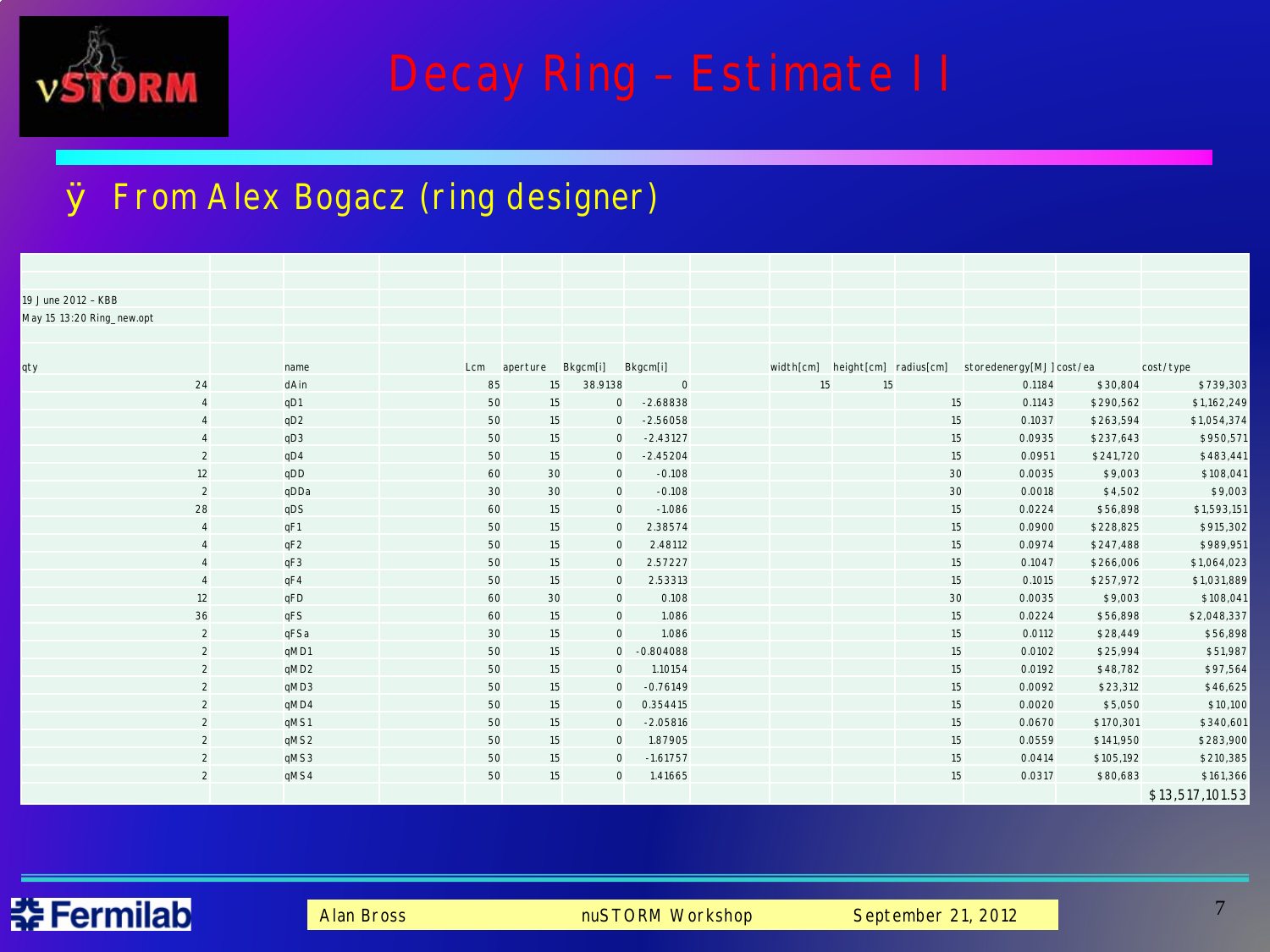

# Decay Ring – Estimate II

#### Ø From Alex Bogacz (ring designer)

| 19 June 2012 - KBB        |                   |      |     |          |                     |                |    |    |    |                                                          |           |                 |
|---------------------------|-------------------|------|-----|----------|---------------------|----------------|----|----|----|----------------------------------------------------------|-----------|-----------------|
| May 15 13:20 Ring_new.opt |                   |      |     |          |                     |                |    |    |    |                                                          |           |                 |
|                           |                   |      |     |          |                     |                |    |    |    |                                                          |           |                 |
|                           |                   |      |     |          |                     |                |    |    |    |                                                          |           |                 |
| qty                       |                   | name | Lcm | aperture | Bkgcm[i]            | Bkgcm[i]       |    |    |    | width[cm] height[cm] radius[cm] storedenergy[MJ] cost/ea |           | cost/type       |
| 24                        |                   | dAin | 85  | 15       | 38.9138             | $\overline{0}$ | 15 | 15 |    | 0.1184                                                   | \$30,804  | \$739,303       |
|                           | $\overline{4}$    | qD1  | 50  | 15       | $\mathbf{0}$        | $-2.68838$     |    |    | 15 | 0.1143                                                   | \$290,562 | \$1,162,249     |
|                           | $\overline{a}$    | qD2  | 50  | 15       | $\mathsf{O}$        | $-2.56058$     |    |    | 15 | 0.1037                                                   | \$263,594 | \$1,054,374     |
|                           | $\overline{4}$    | qD3  | 50  | 15       | $\mathbf{O}$        | $-2.43127$     |    |    | 15 | 0.0935                                                   | \$237,643 | \$950,571       |
|                           | 2                 | qD4  | 50  | 15       | $\mathsf{O}$        | $-2.45204$     |    |    | 15 | 0.0951                                                   | \$241,720 | \$483,441       |
|                           | $12 \overline{ }$ | qDD  | 60  | 30       | $\mathbf 0$         | $-0.108$       |    |    | 30 | 0.0035                                                   | \$9,003   | \$108,041       |
|                           | $\overline{2}$    | qDDa | 30  | 30       | $\circ$             | $-0.108$       |    |    | 30 | 0.0018                                                   | \$4,502   | \$9,003         |
| 28                        |                   | qDS  | 60  | 15       | $\mathsf{O}$        | $-1.086$       |    |    | 15 | 0.0224                                                   | \$56,898  | \$1,593,151     |
|                           | $\overline{4}$    | qF1  | 50  | 15       | $\mathbf 0$         | 2.38574        |    |    | 15 | 0.0900                                                   | \$228,825 | \$915,302       |
|                           | $\overline{4}$    | qF2  | 50  | 15       | $\mathsf{O}\xspace$ | 2.48112        |    |    | 15 | 0.0974                                                   | \$247,488 | \$989,951       |
|                           | $\overline{4}$    | qF3  | 50  | 15       | $\mathsf{O}$        | 2.57227        |    |    | 15 | 0.1047                                                   | \$266,006 | \$1,064,023     |
|                           | $\overline{4}$    | qF4  | 50  | 15       | $\mathbf 0$         | 2.53313        |    |    | 15 | 0.1015                                                   | \$257,972 | \$1,031,889     |
| 12                        |                   | qFD  | 60  | 30       | $\circ$             | 0.108          |    |    | 30 | 0.0035                                                   | \$9,003   | \$108,041       |
| 36                        |                   | qFS  | 60  | 15       | $\circ$             | 1.086          |    |    | 15 | 0.0224                                                   | \$56,898  | \$2,048,337     |
|                           | 2                 | qFSa | 30  | 15       | $\mathsf{O}\xspace$ | 1.086          |    |    | 15 | 0.0112                                                   | \$28,449  | \$56,898        |
|                           | $\overline{2}$    | qMD1 | 50  | 15       | $\overline{O}$      | $-0.804088$    |    |    | 15 | 0.0102                                                   | \$25,994  | \$51,987        |
|                           | $\overline{2}$    | qMD2 | 50  | 15       | 0                   | 1.10154        |    |    | 15 | 0.0192                                                   | \$48,782  | \$97,564        |
|                           | 2                 | qMD3 | 50  | 15       | $\mathbf{0}$        | $-0.76149$     |    |    | 15 | 0.0092                                                   | \$23,312  | \$46,625        |
|                           | 2                 | qMD4 | 50  | 15       | $\mathbf{O}$        | 0.354415       |    |    | 15 | 0.0020                                                   | \$5,050   | \$10,100        |
|                           | 2                 | qMS1 | 50  | 15       | $\mathbf{0}$        | $-2.05816$     |    |    | 15 | 0.0670                                                   | \$170,301 | \$340,601       |
|                           | $\overline{2}$    | qMS2 | 50  | 15       | $\mathbf{0}$        | 1.87905        |    |    | 15 | 0.0559                                                   | \$141,950 | \$283,900       |
|                           | $\overline{2}$    | qMS3 | 50  | 15       | $\mathbf 0$         | $-1.61757$     |    |    | 15 | 0.0414                                                   | \$105,192 | \$210,385       |
|                           | $\overline{2}$    | qMS4 | 50  | 15       | $\mathbf 0$         | 1.41665        |    |    | 15 | 0.0317                                                   | \$80,683  | \$161,366       |
|                           |                   |      |     |          |                     |                |    |    |    |                                                          |           | \$13,517,101.53 |

#### Fermilab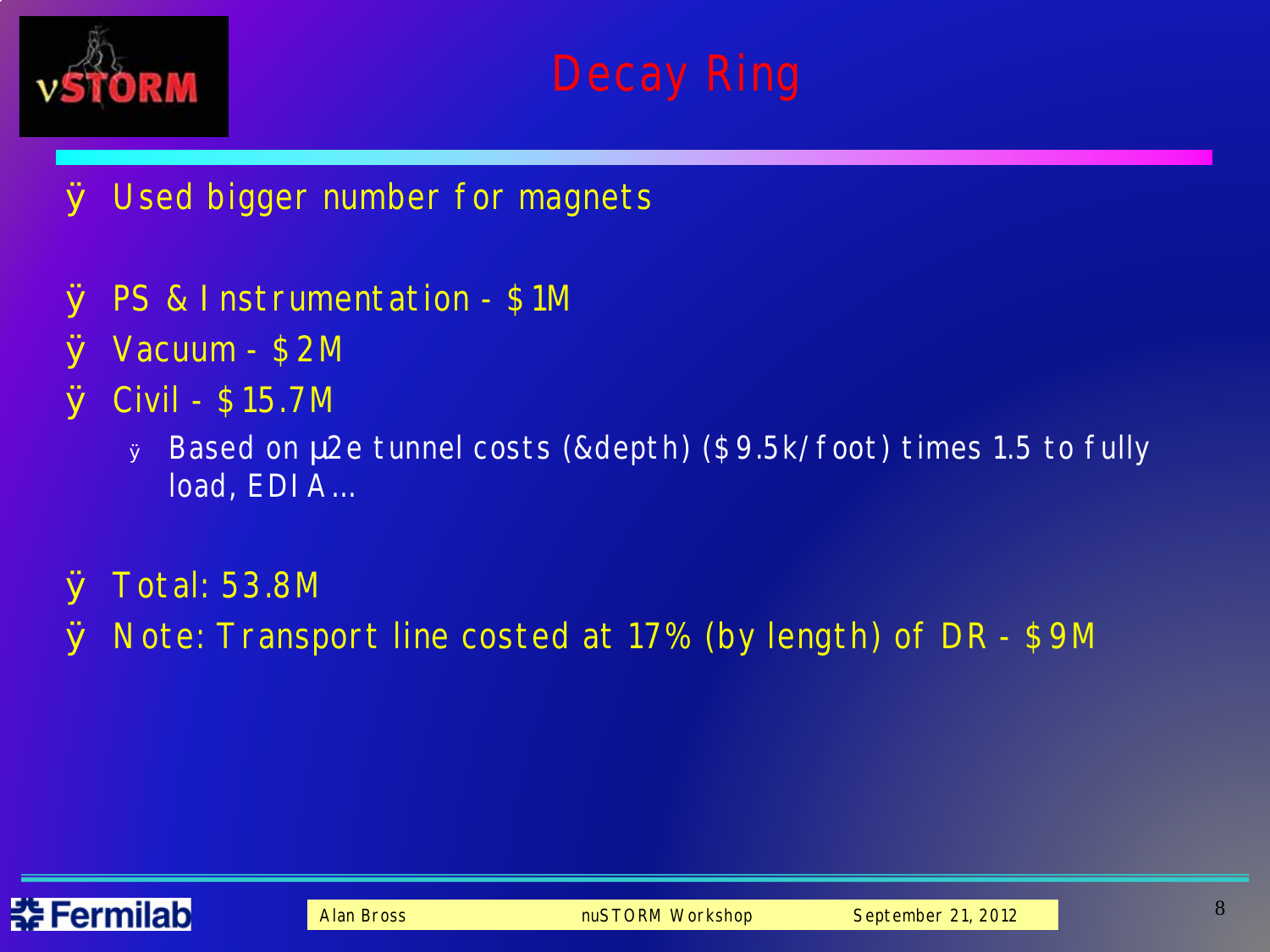

- Ø Used bigger number for magnets
- Ø PS & Instrumentation \$1M
- Ø Vacuum \$2M
- Ø Civil \$15.7M
	- <sup>Ø</sup> Based on 2e tunnel costs (&depth) (\$9.5k/foot) times 1.5 to fully load, EDIA…
- Ø Total: 53.8M
- Ø Note: Transport line costed at 17% (by length) of DR \$9M